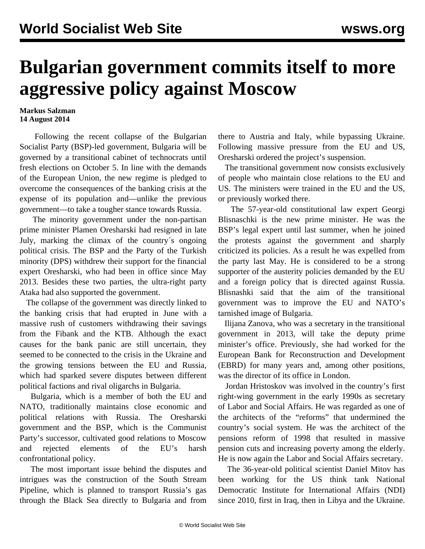## **Bulgarian government commits itself to more aggressive policy against Moscow**

## **Markus Salzman 14 August 2014**

 Following the recent collapse of the Bulgarian Socialist Party (BSP)-led government, Bulgaria will be governed by a transitional cabinet of technocrats until fresh elections on October 5. In line with the demands of the European Union, the new regime is pledged to overcome the consequences of the banking crisis at the expense of its population and—unlike the previous government—to take a tougher stance towards Russia.

 The minority government under the non-partisan prime minister Plamen Oresharski had resigned in late July, marking the climax of the country´s ongoing political crisis. The BSP and the Party of the Turkish minority (DPS) withdrew their support for the financial expert Oresharski, who had been in office since May 2013. Besides these two parties, the ultra-right party Ataka had also supported the government.

 The collapse of the government was directly linked to the banking crisis that had erupted in June with a massive rush of customers withdrawing their savings from the Fibank and the KTB. Although the exact causes for the bank panic are still uncertain, they seemed to be connected to the crisis in the Ukraine and the growing tensions between the EU and Russia, which had sparked severe disputes between different political factions and rival oligarchs in Bulgaria.

 Bulgaria, which is a member of both the EU and NATO, traditionally maintains close economic and political relations with Russia. The Oresharski government and the BSP, which is the Communist Party's successor, cultivated good relations to Moscow and rejected elements of the EU's harsh confrontational policy.

 The most important issue behind the disputes and intrigues was the construction of the South Stream Pipeline, which is planned to transport Russia's gas through the Black Sea directly to Bulgaria and from there to Austria and Italy, while bypassing Ukraine. Following massive pressure from the EU and US, Oresharski ordered the project's suspension.

 The transitional government now consists exclusively of people who maintain close relations to the EU and US. The ministers were trained in the EU and the US, or previously worked there.

 The 57-year-old constitutional law expert Georgi Blisnaschki is the new prime minister. He was the BSP's legal expert until last summer, when he joined the protests against the government and sharply criticized its policies. As a result he was expelled from the party last May. He is considered to be a strong supporter of the austerity policies demanded by the EU and a foreign policy that is directed against Russia. Blisnashki said that the aim of the transitional government was to improve the EU and NATO's tarnished image of Bulgaria.

 Ilijana Zanova, who was a secretary in the transitional government in 2013, will take the deputy prime minister's office. Previously, she had worked for the European Bank for Reconstruction and Development (EBRD) for many years and, among other positions, was the director of its office in London.

 Jordan Hristoskov was involved in the country's first right-wing government in the early 1990s as secretary of Labor and Social Affairs. He was regarded as one of the architects of the "reforms" that undermined the country's social system. He was the architect of the pensions reform of 1998 that resulted in massive pension cuts and increasing poverty among the elderly. He is now again the Labor and Social Affairs secretary.

 The 36-year-old political scientist Daniel Mitov has been working for the US think tank National Democratic Institute for International Affairs (NDI) since 2010, first in Iraq, then in Libya and the Ukraine.